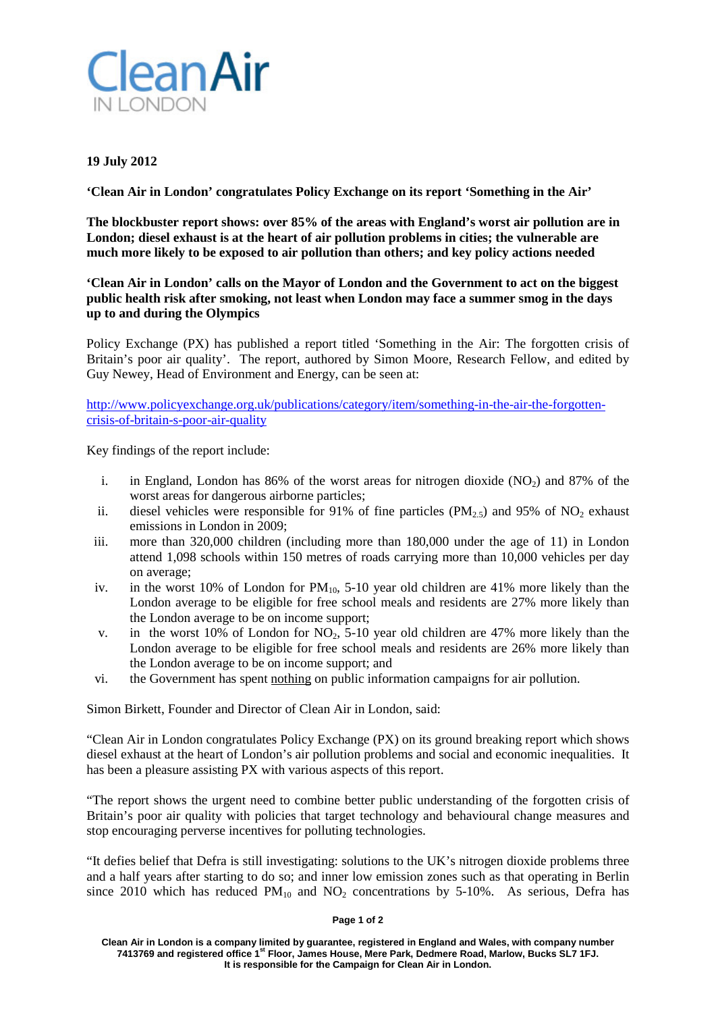

## **19 July 2012**

**'Clean Air in London' congratulates Policy Exchange on its report 'Something in the Air'**

**The blockbuster report shows: over 85% of the areas with England's worst air pollution are in London; diesel exhaust is at the heart of air pollution problems in cities; the vulnerable are much more likely to be exposed to air pollution than others; and key policy actions needed**

**'Clean Air in London' calls on the Mayor of London and the Government to act on the biggest public health risk after smoking, not least when London may face a summer smog in the days up to and during the Olympics**

Policy Exchange (PX) has published a report titled 'Something in the Air: The forgotten crisis of Britain's poor air quality'. The report, authored by Simon Moore, Research Fellow, and edited by Guy Newey, Head of Environment and Energy, can be seen at:

[http://www.policyexchange.org.uk/publications/category/item/something-in-the-air-the-forgotten](http://www.policyexchange.org.uk/publications/category/item/something-in-the-air-the-forgotten-crisis-of-britain-s-poor-air-quality)[crisis-of-britain-s-poor-air-quality](http://www.policyexchange.org.uk/publications/category/item/something-in-the-air-the-forgotten-crisis-of-britain-s-poor-air-quality)

Key findings of the report include:

- i. in England, London has  $86\%$  of the worst areas for nitrogen dioxide (NO<sub>2</sub>) and  $87\%$  of the worst areas for dangerous airborne particles;
- ii. diesel vehicles were responsible for 91% of fine particles ( $PM_{2.5}$ ) and 95% of  $NO_2$  exhaust emissions in London in 2009;
- iii. more than 320,000 children (including more than 180,000 under the age of 11) in London attend 1,098 schools within 150 metres of roads carrying more than 10,000 vehicles per day on average;
- iv. in the worst 10% of London for  $PM_{10}$ , 5-10 year old children are 41% more likely than the London average to be eligible for free school meals and residents are 27% more likely than the London average to be on income support;
- v. in the worst 10% of London for  $NO<sub>2</sub>$ , 5-10 year old children are 47% more likely than the London average to be eligible for free school meals and residents are 26% more likely than the London average to be on income support; and
- vi. the Government has spent nothing on public information campaigns for air pollution.

Simon Birkett, Founder and Director of Clean Air in London, said:

"Clean Air in London congratulates Policy Exchange (PX) on its ground breaking report which shows diesel exhaust at the heart of London's air pollution problems and social and economic inequalities. It has been a pleasure assisting PX with various aspects of this report.

"The report shows the urgent need to combine better public understanding of the forgotten crisis of Britain's poor air quality with policies that target technology and behavioural change measures and stop encouraging perverse incentives for polluting technologies.

"It defies belief that Defra is still investigating: solutions to the UK's nitrogen dioxide problems three and a half years after starting to do so; and inner low emission zones such as that operating in Berlin since 2010 which has reduced  $PM_{10}$  and  $NO<sub>2</sub>$  concentrations by 5-10%. As serious, Defra has

## **Page 1 of 2**